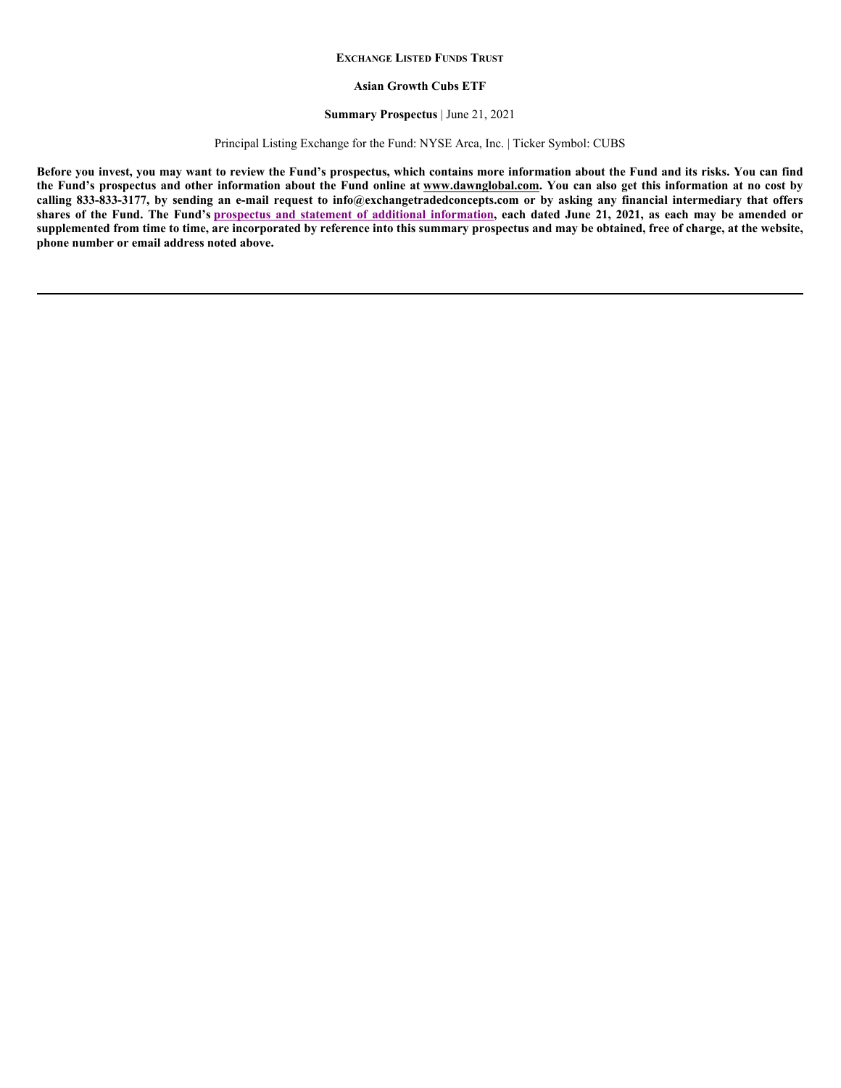#### **EXCHANGE LISTED FUNDS TRUST**

#### **Asian Growth Cubs ETF**

# **Summary Prospectus** | June 21, 2021

Principal Listing Exchange for the Fund: NYSE Arca, Inc. | Ticker Symbol: CUBS

**Before you invest, you may want to review the Fund's prospectus, which contains more information about the Fund and its risks. You can find the Fund's prospectus and other information about the Fund online at www.dawnglobal.com. You can also get this information at no cost by calling 833-833-3177, by sending an e-mail request to info@exchangetradedconcepts.com or by asking any financial intermediary that offers shares of the Fund. The Fund's prospectus and statement of additional information, each dated June 21, 2021, as each may be amended or supplemented from time to time, are incorporated by reference into this summary prospectus and may be obtained, free of charge, at the website, phone number or email address noted above.**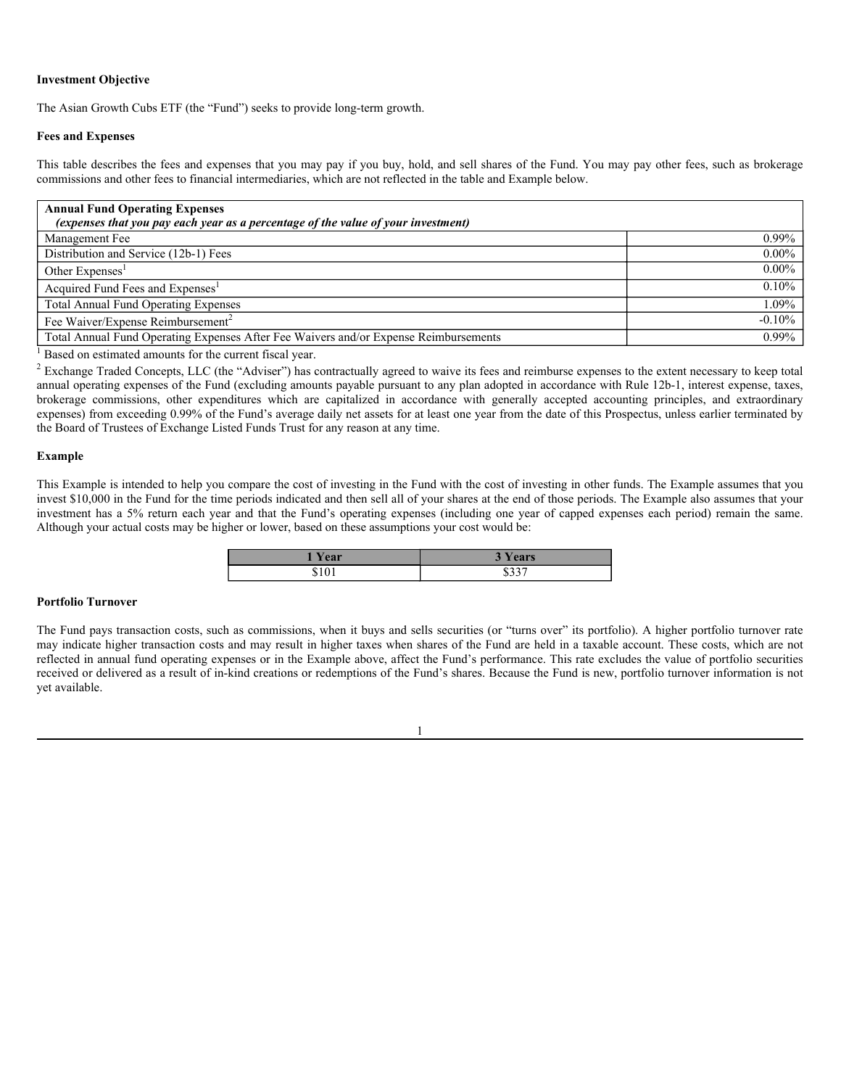# **Investment Objective**

The Asian Growth Cubs ETF (the "Fund") seeks to provide long-term growth.

# **Fees and Expenses**

This table describes the fees and expenses that you may pay if you buy, hold, and sell shares of the Fund. You may pay other fees, such as brokerage commissions and other fees to financial intermediaries, which are not reflected in the table and Example below.

| <b>Annual Fund Operating Expenses</b><br>(expenses that you pay each year as a percentage of the value of your investment) |          |
|----------------------------------------------------------------------------------------------------------------------------|----------|
| Management Fee                                                                                                             | $0.99\%$ |
| Distribution and Service (12b-1) Fees                                                                                      | $0.00\%$ |
| Other Expenses <sup>1</sup>                                                                                                | $0.00\%$ |
| Acquired Fund Fees and Expenses <sup>1</sup>                                                                               | 0.10%    |
| <b>Total Annual Fund Operating Expenses</b>                                                                                | 1.09%    |
| Fee Waiver/Expense Reimbursement <sup>2</sup>                                                                              | $-0.10%$ |
| Total Annual Fund Operating Expenses After Fee Waivers and/or Expense Reimbursements                                       | $0.99\%$ |

<sup>1</sup> Based on estimated amounts for the current fiscal year.

 $2$  Exchange Traded Concepts, LLC (the "Adviser") has contractually agreed to waive its fees and reimburse expenses to the extent necessary to keep total annual operating expenses of the Fund (excluding amounts payable pursuant to any plan adopted in accordance with Rule 12b-1, interest expense, taxes, brokerage commissions, other expenditures which are capitalized in accordance with generally accepted accounting principles, and extraordinary expenses) from exceeding 0.99% of the Fund's average daily net assets for at least one year from the date of this Prospectus, unless earlier terminated by the Board of Trustees of Exchange Listed Funds Trust for any reason at any time.

## **Example**

This Example is intended to help you compare the cost of investing in the Fund with the cost of investing in other funds. The Example assumes that you invest \$10,000 in the Fund for the time periods indicated and then sell all of your shares at the end of those periods. The Example also assumes that your investment has a 5% return each year and that the Fund's operating expenses (including one year of capped expenses each period) remain the same. Although your actual costs may be higher or lower, based on these assumptions your cost would be:

| Year | Years<br>Ð      |
|------|-----------------|
| 101  | $22 -$<br>ر ر ر |

### **Portfolio Turnover**

The Fund pays transaction costs, such as commissions, when it buys and sells securities (or "turns over" its portfolio). A higher portfolio turnover rate may indicate higher transaction costs and may result in higher taxes when shares of the Fund are held in a taxable account. These costs, which are not reflected in annual fund operating expenses or in the Example above, affect the Fund's performance. This rate excludes the value of portfolio securities received or delivered as a result of in-kind creations or redemptions of the Fund's shares. Because the Fund is new, portfolio turnover information is not yet available.

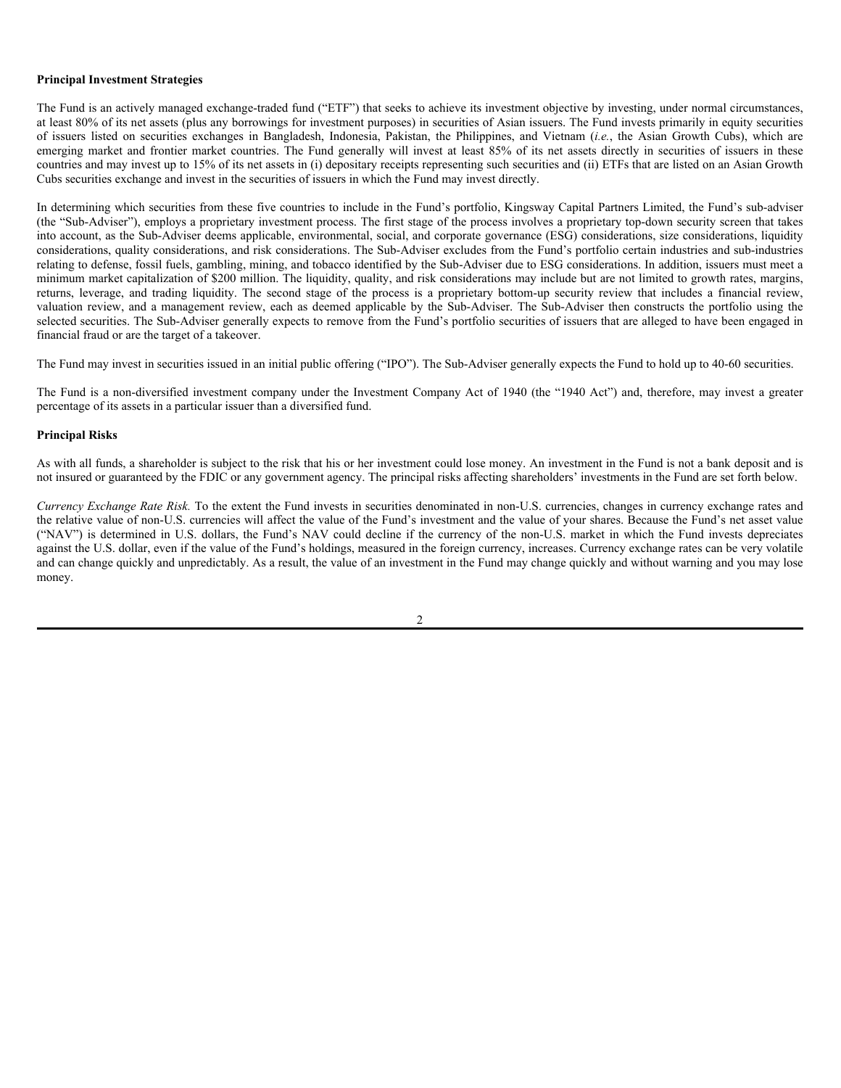### **Principal Investment Strategies**

The Fund is an actively managed exchange-traded fund ("ETF") that seeks to achieve its investment objective by investing, under normal circumstances, at least 80% of its net assets (plus any borrowings for investment purposes) in securities of Asian issuers. The Fund invests primarily in equity securities of issuers listed on securities exchanges in Bangladesh, Indonesia, Pakistan, the Philippines, and Vietnam (*i.e.*, the Asian Growth Cubs), which are emerging market and frontier market countries. The Fund generally will invest at least 85% of its net assets directly in securities of issuers in these countries and may invest up to 15% of its net assets in (i) depositary receipts representing such securities and (ii) ETFs that are listed on an Asian Growth Cubs securities exchange and invest in the securities of issuers in which the Fund may invest directly.

In determining which securities from these five countries to include in the Fund's portfolio, Kingsway Capital Partners Limited, the Fund's sub-adviser (the "Sub-Adviser"), employs a proprietary investment process. The first stage of the process involves a proprietary top-down security screen that takes into account, as the Sub-Adviser deems applicable, environmental, social, and corporate governance (ESG) considerations, size considerations, liquidity considerations, quality considerations, and risk considerations. The Sub-Adviser excludes from the Fund's portfolio certain industries and sub-industries relating to defense, fossil fuels, gambling, mining, and tobacco identified by the Sub-Adviser due to ESG considerations. In addition, issuers must meet a minimum market capitalization of \$200 million. The liquidity, quality, and risk considerations may include but are not limited to growth rates, margins, returns, leverage, and trading liquidity. The second stage of the process is a proprietary bottom-up security review that includes a financial review, valuation review, and a management review, each as deemed applicable by the Sub-Adviser. The Sub-Adviser then constructs the portfolio using the selected securities. The Sub-Adviser generally expects to remove from the Fund's portfolio securities of issuers that are alleged to have been engaged in financial fraud or are the target of a takeover.

The Fund may invest in securities issued in an initial public offering ("IPO"). The Sub-Adviser generally expects the Fund to hold up to 40-60 securities.

The Fund is a non-diversified investment company under the Investment Company Act of 1940 (the "1940 Act") and, therefore, may invest a greater percentage of its assets in a particular issuer than a diversified fund.

#### **Principal Risks**

As with all funds, a shareholder is subject to the risk that his or her investment could lose money. An investment in the Fund is not a bank deposit and is not insured or guaranteed by the FDIC or any government agency. The principal risks affecting shareholders' investments in the Fund are set forth below.

*Currency Exchange Rate Risk.* To the extent the Fund invests in securities denominated in non-U.S. currencies, changes in currency exchange rates and the relative value of non-U.S. currencies will affect the value of the Fund's investment and the value of your shares. Because the Fund's net asset value ("NAV") is determined in U.S. dollars, the Fund's NAV could decline if the currency of the non-U.S. market in which the Fund invests depreciates against the U.S. dollar, even if the value of the Fund's holdings, measured in the foreign currency, increases. Currency exchange rates can be very volatile and can change quickly and unpredictably. As a result, the value of an investment in the Fund may change quickly and without warning and you may lose money.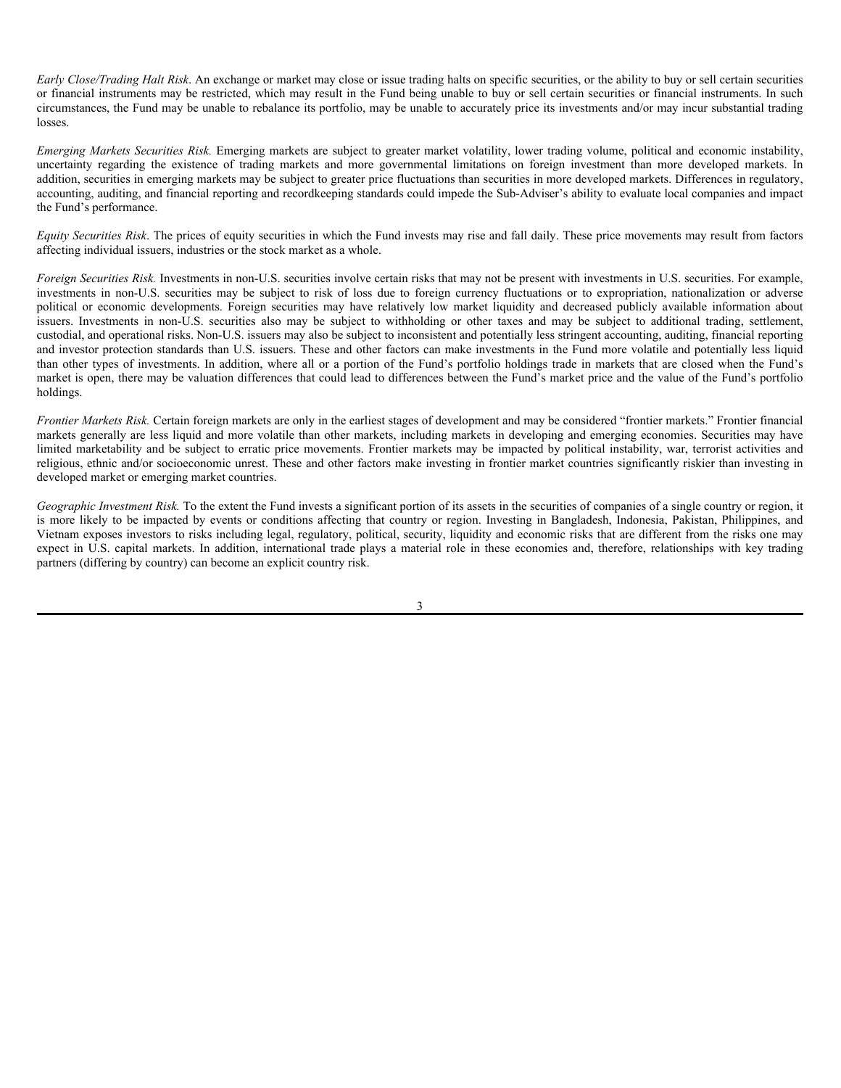*Early Close/Trading Halt Risk*. An exchange or market may close or issue trading halts on specific securities, or the ability to buy or sell certain securities or financial instruments may be restricted, which may result in the Fund being unable to buy or sell certain securities or financial instruments. In such circumstances, the Fund may be unable to rebalance its portfolio, may be unable to accurately price its investments and/or may incur substantial trading losses.

*Emerging Markets Securities Risk.* Emerging markets are subject to greater market volatility, lower trading volume, political and economic instability, uncertainty regarding the existence of trading markets and more governmental limitations on foreign investment than more developed markets. In addition, securities in emerging markets may be subject to greater price fluctuations than securities in more developed markets. Differences in regulatory, accounting, auditing, and financial reporting and recordkeeping standards could impede the Sub-Adviser's ability to evaluate local companies and impact the Fund's performance.

*Equity Securities Risk*. The prices of equity securities in which the Fund invests may rise and fall daily. These price movements may result from factors affecting individual issuers, industries or the stock market as a whole.

*Foreign Securities Risk.* Investments in non-U.S. securities involve certain risks that may not be present with investments in U.S. securities. For example, investments in non-U.S. securities may be subject to risk of loss due to foreign currency fluctuations or to expropriation, nationalization or adverse political or economic developments. Foreign securities may have relatively low market liquidity and decreased publicly available information about issuers. Investments in non-U.S. securities also may be subject to withholding or other taxes and may be subject to additional trading, settlement, custodial, and operational risks. Non-U.S. issuers may also be subject to inconsistent and potentially less stringent accounting, auditing, financial reporting and investor protection standards than U.S. issuers. These and other factors can make investments in the Fund more volatile and potentially less liquid than other types of investments. In addition, where all or a portion of the Fund's portfolio holdings trade in markets that are closed when the Fund's market is open, there may be valuation differences that could lead to differences between the Fund's market price and the value of the Fund's portfolio holdings.

*Frontier Markets Risk.* Certain foreign markets are only in the earliest stages of development and may be considered "frontier markets." Frontier financial markets generally are less liquid and more volatile than other markets, including markets in developing and emerging economies. Securities may have limited marketability and be subject to erratic price movements. Frontier markets may be impacted by political instability, war, terrorist activities and religious, ethnic and/or socioeconomic unrest. These and other factors make investing in frontier market countries significantly riskier than investing in developed market or emerging market countries.

*Geographic Investment Risk.* To the extent the Fund invests a significant portion of its assets in the securities of companies of a single country or region, it is more likely to be impacted by events or conditions affecting that country or region. Investing in Bangladesh, Indonesia, Pakistan, Philippines, and Vietnam exposes investors to risks including legal, regulatory, political, security, liquidity and economic risks that are different from the risks one may expect in U.S. capital markets. In addition, international trade plays a material role in these economies and, therefore, relationships with key trading partners (differing by country) can become an explicit country risk.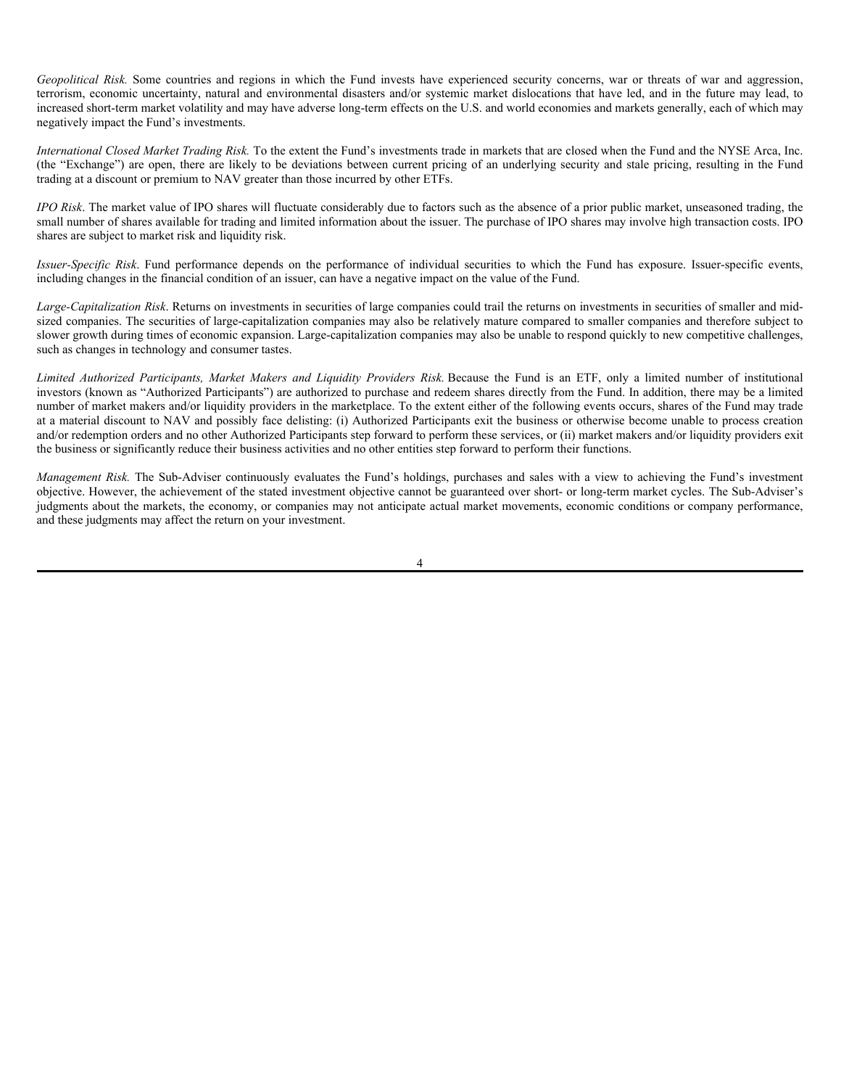*Geopolitical Risk.* Some countries and regions in which the Fund invests have experienced security concerns, war or threats of war and aggression, terrorism, economic uncertainty, natural and environmental disasters and/or systemic market dislocations that have led, and in the future may lead, to increased short-term market volatility and may have adverse long-term effects on the U.S. and world economies and markets generally, each of which may negatively impact the Fund's investments.

*International Closed Market Trading Risk.* To the extent the Fund's investments trade in markets that are closed when the Fund and the NYSE Arca, Inc. (the "Exchange") are open, there are likely to be deviations between current pricing of an underlying security and stale pricing, resulting in the Fund trading at a discount or premium to NAV greater than those incurred by other ETFs.

*IPO Risk*. The market value of IPO shares will fluctuate considerably due to factors such as the absence of a prior public market, unseasoned trading, the small number of shares available for trading and limited information about the issuer. The purchase of IPO shares may involve high transaction costs. IPO shares are subject to market risk and liquidity risk.

*Issuer-Specific Risk*. Fund performance depends on the performance of individual securities to which the Fund has exposure. Issuer-specific events, including changes in the financial condition of an issuer, can have a negative impact on the value of the Fund.

*Large-Capitalization Risk*. Returns on investments in securities of large companies could trail the returns on investments in securities of smaller and midsized companies. The securities of large-capitalization companies may also be relatively mature compared to smaller companies and therefore subject to slower growth during times of economic expansion. Large-capitalization companies may also be unable to respond quickly to new competitive challenges, such as changes in technology and consumer tastes.

Limited Authorized Participants, Market Makers and Liquidity Providers Risk. Because the Fund is an ETF, only a limited number of institutional investors (known as "Authorized Participants") are authorized to purchase and redeem shares directly from the Fund. In addition, there may be a limited number of market makers and/or liquidity providers in the marketplace. To the extent either of the following events occurs, shares of the Fund may trade at a material discount to NAV and possibly face delisting: (i) Authorized Participants exit the business or otherwise become unable to process creation and/or redemption orders and no other Authorized Participants step forward to perform these services, or (ii) market makers and/or liquidity providers exit the business or significantly reduce their business activities and no other entities step forward to perform their functions.

*Management Risk.* The Sub-Adviser continuously evaluates the Fund's holdings, purchases and sales with a view to achieving the Fund's investment objective. However, the achievement of the stated investment objective cannot be guaranteed over short- or long-term market cycles. The Sub-Adviser's judgments about the markets, the economy, or companies may not anticipate actual market movements, economic conditions or company performance, and these judgments may affect the return on your investment.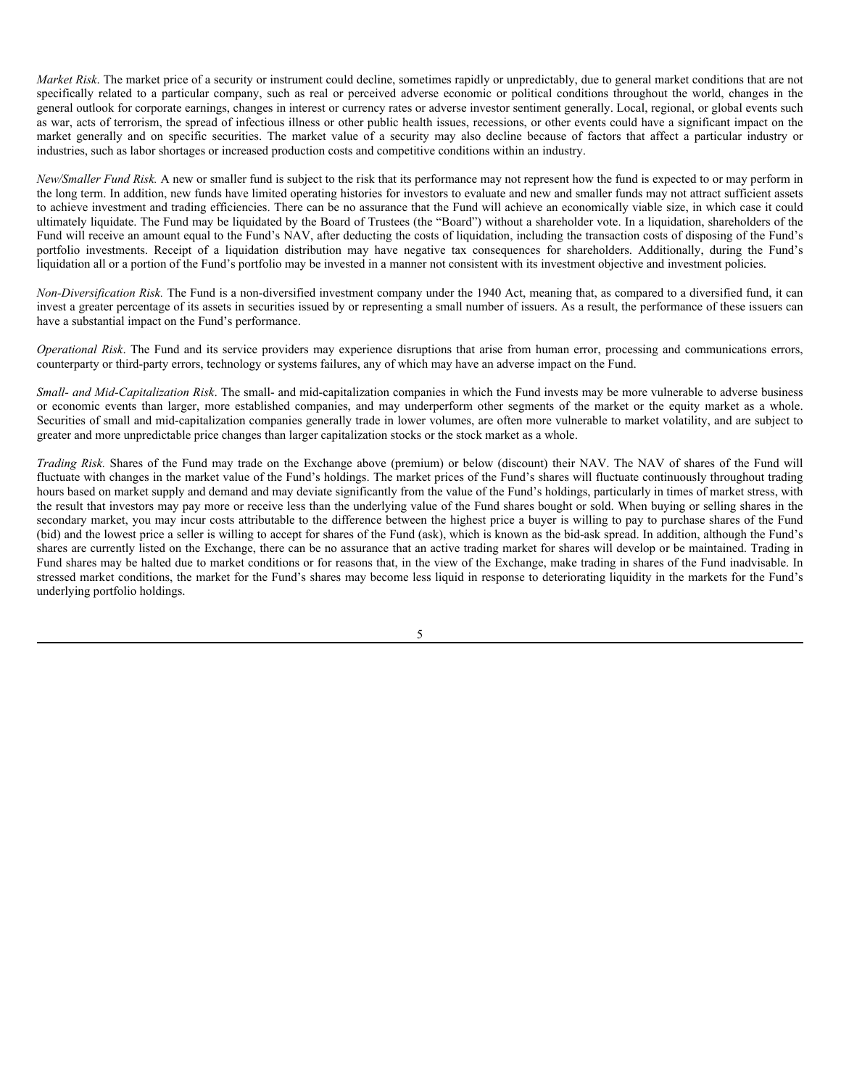*Market Risk*. The market price of a security or instrument could decline, sometimes rapidly or unpredictably, due to general market conditions that are not specifically related to a particular company, such as real or perceived adverse economic or political conditions throughout the world, changes in the general outlook for corporate earnings, changes in interest or currency rates or adverse investor sentiment generally. Local, regional, or global events such as war, acts of terrorism, the spread of infectious illness or other public health issues, recessions, or other events could have a significant impact on the market generally and on specific securities. The market value of a security may also decline because of factors that affect a particular industry or industries, such as labor shortages or increased production costs and competitive conditions within an industry.

*New/Smaller Fund Risk.* A new or smaller fund is subject to the risk that its performance may not represent how the fund is expected to or may perform in the long term. In addition, new funds have limited operating histories for investors to evaluate and new and smaller funds may not attract sufficient assets to achieve investment and trading efficiencies. There can be no assurance that the Fund will achieve an economically viable size, in which case it could ultimately liquidate. The Fund may be liquidated by the Board of Trustees (the "Board") without a shareholder vote. In a liquidation, shareholders of the Fund will receive an amount equal to the Fund's NAV, after deducting the costs of liquidation, including the transaction costs of disposing of the Fund's portfolio investments. Receipt of a liquidation distribution may have negative tax consequences for shareholders. Additionally, during the Fund's liquidation all or a portion of the Fund's portfolio may be invested in a manner not consistent with its investment objective and investment policies.

*Non-Diversification Risk.* The Fund is a non-diversified investment company under the 1940 Act, meaning that, as compared to a diversified fund, it can invest a greater percentage of its assets in securities issued by or representing a small number of issuers. As a result, the performance of these issuers can have a substantial impact on the Fund's performance.

*Operational Risk*. The Fund and its service providers may experience disruptions that arise from human error, processing and communications errors, counterparty or third-party errors, technology or systems failures, any of which may have an adverse impact on the Fund.

*Small- and Mid-Capitalization Risk*. The small- and mid-capitalization companies in which the Fund invests may be more vulnerable to adverse business or economic events than larger, more established companies, and may underperform other segments of the market or the equity market as a whole. Securities of small and mid-capitalization companies generally trade in lower volumes, are often more vulnerable to market volatility, and are subject to greater and more unpredictable price changes than larger capitalization stocks or the stock market as a whole.

*Trading Risk.* Shares of the Fund may trade on the Exchange above (premium) or below (discount) their NAV. The NAV of shares of the Fund will fluctuate with changes in the market value of the Fund's holdings. The market prices of the Fund's shares will fluctuate continuously throughout trading hours based on market supply and demand and may deviate significantly from the value of the Fund's holdings, particularly in times of market stress, with the result that investors may pay more or receive less than the underlying value of the Fund shares bought or sold. When buying or selling shares in the secondary market, you may incur costs attributable to the difference between the highest price a buyer is willing to pay to purchase shares of the Fund (bid) and the lowest price a seller is willing to accept for shares of the Fund (ask), which is known as the bid-ask spread. In addition, although the Fund's shares are currently listed on the Exchange, there can be no assurance that an active trading market for shares will develop or be maintained. Trading in Fund shares may be halted due to market conditions or for reasons that, in the view of the Exchange, make trading in shares of the Fund inadvisable. In stressed market conditions, the market for the Fund's shares may become less liquid in response to deteriorating liquidity in the markets for the Fund's underlying portfolio holdings.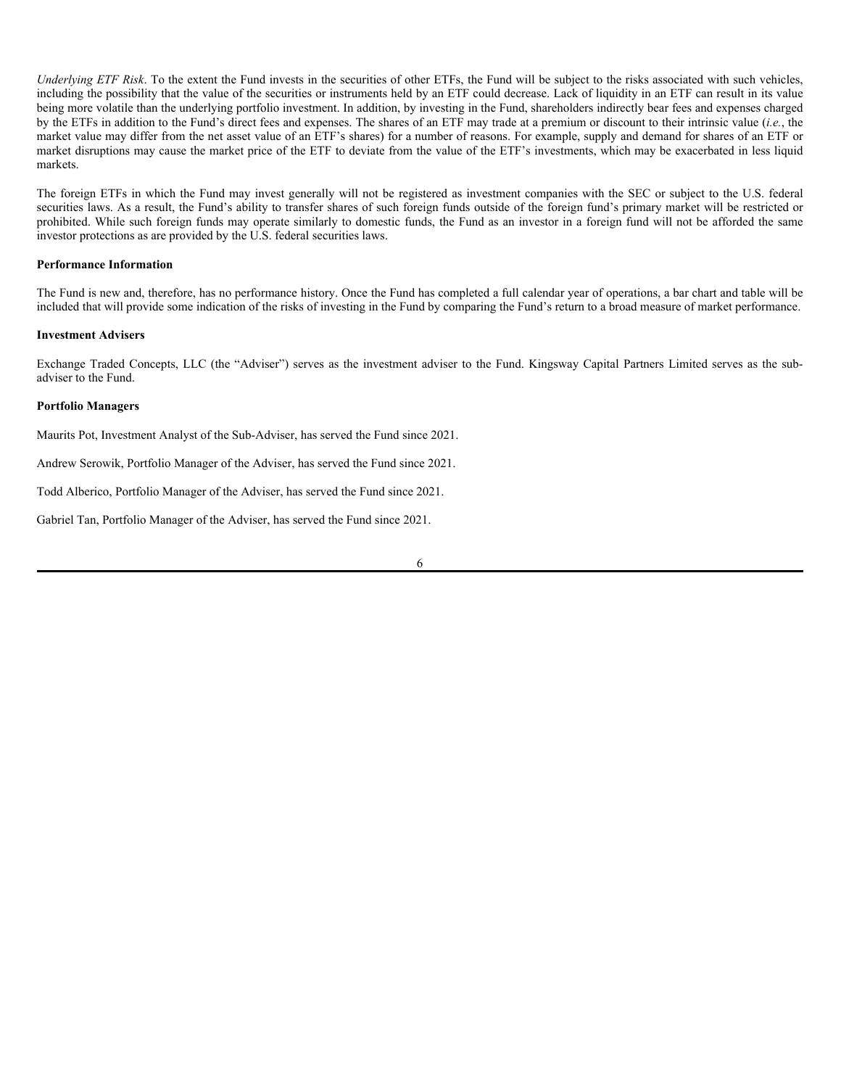*Underlying ETF Risk*. To the extent the Fund invests in the securities of other ETFs, the Fund will be subject to the risks associated with such vehicles, including the possibility that the value of the securities or instruments held by an ETF could decrease. Lack of liquidity in an ETF can result in its value being more volatile than the underlying portfolio investment. In addition, by investing in the Fund, shareholders indirectly bear fees and expenses charged by the ETFs in addition to the Fund's direct fees and expenses. The shares of an ETF may trade at a premium or discount to their intrinsic value (*i.e.*, the market value may differ from the net asset value of an ETF's shares) for a number of reasons. For example, supply and demand for shares of an ETF or market disruptions may cause the market price of the ETF to deviate from the value of the ETF's investments, which may be exacerbated in less liquid markets.

The foreign ETFs in which the Fund may invest generally will not be registered as investment companies with the SEC or subject to the U.S. federal securities laws. As a result, the Fund's ability to transfer shares of such foreign funds outside of the foreign fund's primary market will be restricted or prohibited. While such foreign funds may operate similarly to domestic funds, the Fund as an investor in a foreign fund will not be afforded the same investor protections as are provided by the U.S. federal securities laws.

### **Performance Information**

The Fund is new and, therefore, has no performance history. Once the Fund has completed a full calendar year of operations, a bar chart and table will be included that will provide some indication of the risks of investing in the Fund by comparing the Fund's return to a broad measure of market performance.

### **Investment Advisers**

Exchange Traded Concepts, LLC (the "Adviser") serves as the investment adviser to the Fund. Kingsway Capital Partners Limited serves as the subadviser to the Fund.

### **Portfolio Managers**

Maurits Pot, Investment Analyst of the Sub-Adviser, has served the Fund since 2021.

Andrew Serowik, Portfolio Manager of the Adviser, has served the Fund since 2021.

Todd Alberico, Portfolio Manager of the Adviser, has served the Fund since 2021.

Gabriel Tan, Portfolio Manager of the Adviser, has served the Fund since 2021.